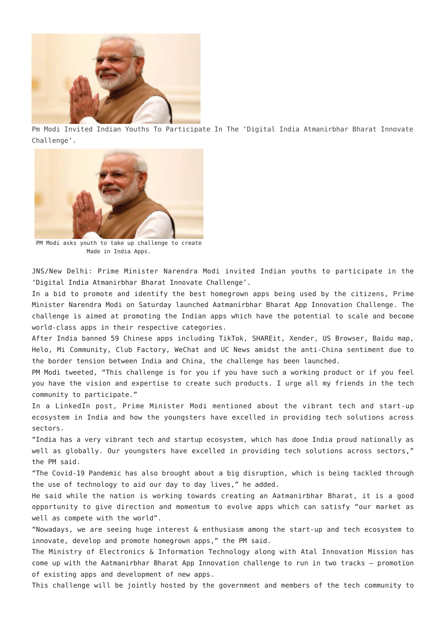

[Pm Modi Invited Indian Youths To Participate In The 'Digital India Atmanirbhar Bharat Innovate](http://www.jharkhandmirror.net/pm-modi-invited-indian-youths-to-participate-in-the-digital-india-atmanirbhar-bharat-innovate-challenge/) [Challenge'.](http://www.jharkhandmirror.net/pm-modi-invited-indian-youths-to-participate-in-the-digital-india-atmanirbhar-bharat-innovate-challenge/)



PM Modi asks youth to take up challenge to create Made in India Apps.

JNS/New Delhi: Prime Minister Narendra Modi invited Indian youths to participate in the 'Digital India Atmanirbhar Bharat Innovate Challenge'.

In a bid to promote and identify the best homegrown apps being used by the citizens, Prime Minister Narendra Modi on Saturday launched Aatmanirbhar Bharat App Innovation Challenge. The challenge is aimed at promoting the Indian apps which have the potential to scale and become world-class apps in their respective categories.

After India banned 59 Chinese apps including TikTok, SHAREit, Xender, US Browser, Baidu map, Helo, Mi Community, Club Factory, WeChat and UC News amidst the anti-China sentiment due to the border tension between India and China, the challenge has been launched.

PM Modi tweeted, "This challenge is for you if you have such a working product or if you feel you have the vision and expertise to create such products. I urge all my friends in the tech community to participate."

In a LinkedIn post, Prime Minister Modi mentioned about the vibrant tech and start-up ecosystem in India and how the youngsters have excelled in providing tech solutions across sectors.

"India has a very vibrant tech and startup ecosystem, which has done India proud nationally as well as globally. Our youngsters have excelled in providing tech solutions across sectors," the PM said.

"The Covid-19 Pandemic has also brought about a big disruption, which is being tackled through the use of technology to aid our day to day lives," he added.

He said while the nation is working towards creating an Aatmanirbhar Bharat, it is a good opportunity to give direction and momentum to evolve apps which can satisfy "our market as well as compete with the world".

"Nowadays, we are seeing huge interest & enthusiasm among the start-up and tech ecosystem to innovate, develop and promote homegrown apps," the PM said.

The Ministry of Electronics & Information Technology along with Atal Innovation Mission has come up with the Aatmanirbhar Bharat App Innovation challenge to run in two tracks – promotion of existing apps and development of new apps.

This challenge will be jointly hosted by the government and members of the tech community to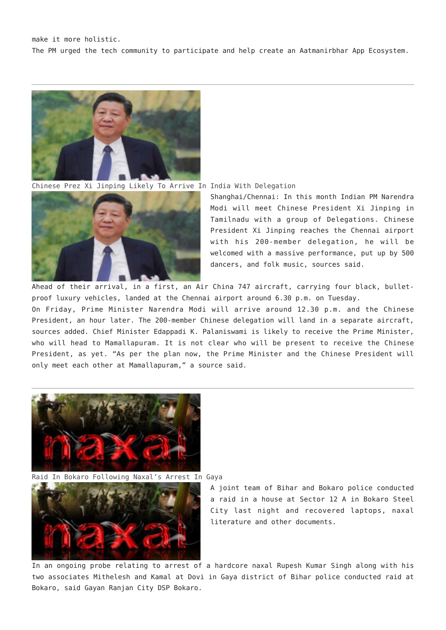

[Chinese Prez Xi Jinping Likely To Arrive In India With Delegation](http://www.jharkhandmirror.net/chinese-prez-xi-jinping-likely-to-arrive-in-india-with-delegation/)



Shanghai/Chennai: In this month Indian PM Narendra Modi will meet Chinese President Xi Jinping in Tamilnadu with a group of Delegations. Chinese President Xi Jinping reaches the Chennai airport with his 200-member delegation, he will be welcomed with a massive performance, put up by 500 dancers, and folk music, sources said.

Ahead of their arrival, in a first, an Air China 747 aircraft, carrying four black, bulletproof luxury vehicles, landed at the Chennai airport around 6.30 p.m. on Tuesday.

On Friday, Prime Minister Narendra Modi will arrive around 12.30 p.m. and the Chinese President, an hour later. The 200-member Chinese delegation will land in a separate aircraft, sources added. Chief Minister Edappadi K. Palaniswami is likely to receive the Prime Minister, who will head to Mamallapuram. It is not clear who will be present to receive the Chinese President, as yet. "As per the plan now, the Prime Minister and the Chinese President will only meet each other at Mamallapuram," a source said.



[Raid In Bokaro Following Naxal's Arrest In Gaya](http://www.jharkhandmirror.net/raid-in-bokaro-following-naxals-arrest-in-gaya/)



A joint team of Bihar and Bokaro police conducted a raid in a house at Sector 12 A in Bokaro Steel City last night and recovered laptops, naxal literature and other documents.

In an ongoing probe relating to arrest of a hardcore naxal Rupesh Kumar Singh along with his two associates Mithelesh and Kamal at Dovi in Gaya district of Bihar police conducted raid at Bokaro, said Gayan Ranjan City DSP Bokaro.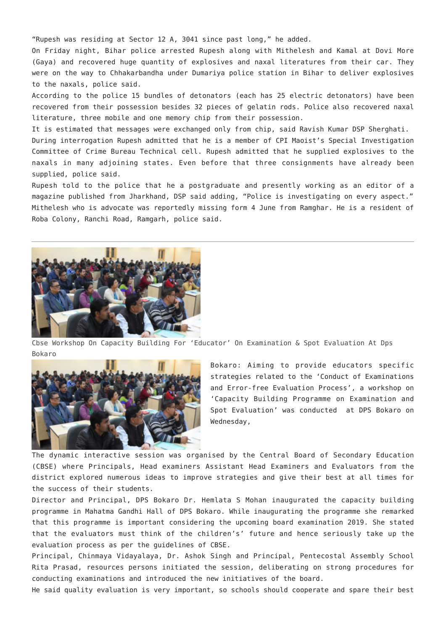"Rupesh was residing at Sector 12 A, 3041 since past long," he added.

On Friday night, Bihar police arrested Rupesh along with Mithelesh and Kamal at Dovi More (Gaya) and recovered huge quantity of explosives and naxal literatures from their car. They were on the way to Chhakarbandha under Dumariya police station in Bihar to deliver explosives to the naxals, police said.

According to the police 15 bundles of detonators (each has 25 electric detonators) have been recovered from their possession besides 32 pieces of gelatin rods. Police also recovered naxal literature, three mobile and one memory chip from their possession.

It is estimated that messages were exchanged only from chip, said Ravish Kumar DSP Sherghati.

During interrogation Rupesh admitted that he is a member of CPI Maoist's Special Investigation Committee of Crime Bureau Technical cell. Rupesh admitted that he supplied explosives to the naxals in many adjoining states. Even before that three consignments have already been supplied, police said.

Rupesh told to the police that he a postgraduate and presently working as an editor of a magazine published from Jharkhand, DSP said adding, "Police is investigating on every aspect." Mithelesh who is advocate was reportedly missing form 4 June from Ramghar. He is a resident of Roba Colony, Ranchi Road, Ramgarh, police said.



[Cbse Workshop On Capacity Building For 'Educator' On Examination & Spot Evaluation At Dps](http://www.jharkhandmirror.net/cbse-workshop-on-capacity-building-for-educator-on-examination-spot-evaluation-at-dps-bokaro/) [Bokaro](http://www.jharkhandmirror.net/cbse-workshop-on-capacity-building-for-educator-on-examination-spot-evaluation-at-dps-bokaro/)



Bokaro: Aiming to provide educators specific strategies related to the 'Conduct of Examinations and Error-free Evaluation Process', a workshop on 'Capacity Building Programme on Examination and Spot Evaluation' was conducted at DPS Bokaro on Wednesday,

The dynamic interactive session was organised by the Central Board of Secondary Education (CBSE) where Principals, Head examiners Assistant Head Examiners and Evaluators from the district explored numerous ideas to improve strategies and give their best at all times for the success of their students.

Director and Principal, DPS Bokaro Dr. Hemlata S Mohan inaugurated the capacity building programme in Mahatma Gandhi Hall of DPS Bokaro. While inaugurating the programme she remarked that this programme is important considering the upcoming board examination 2019. She stated that the evaluators must think of the children's' future and hence seriously take up the evaluation process as per the guidelines of CBSE.

Principal, Chinmaya Vidayalaya, Dr. Ashok Singh and Principal, Pentecostal Assembly School Rita Prasad, resources persons initiated the session, deliberating on strong procedures for conducting examinations and introduced the new initiatives of the board.

He said quality evaluation is very important, so schools should cooperate and spare their best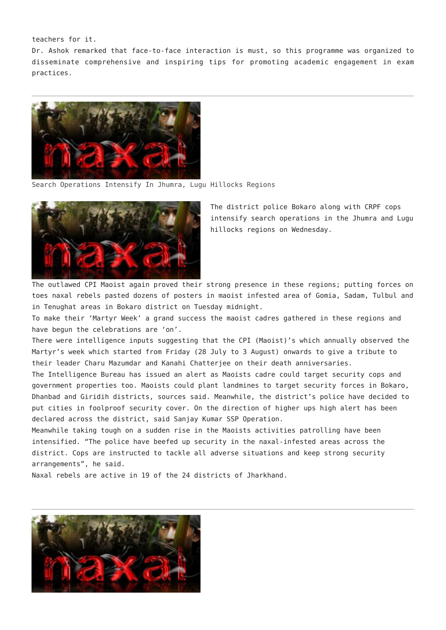teachers for it.

Dr. Ashok remarked that face-to-face interaction is must, so this programme was organized to disseminate comprehensive and inspiring tips for promoting academic engagement in exam practices.



[Search Operations Intensify In Jhumra, Lugu Hillocks Regions](http://www.jharkhandmirror.net/search-operations-intensify-in-jhumra-lugu-hillocks-regions/)



The district police Bokaro along with CRPF cops intensify search operations in the Jhumra and Lugu hillocks regions on Wednesday.

The outlawed CPI Maoist again proved their strong presence in these regions; putting forces on toes naxal rebels pasted dozens of posters in maoist infested area of Gomia, Sadam, Tulbul and in Tenughat areas in Bokaro district on Tuesday midnight.

To make their 'Martyr Week' a grand success the maoist cadres gathered in these regions and have begun the celebrations are 'on'.

There were intelligence inputs suggesting that the CPI (Maoist)'s which annually observed the Martyr's week which started from Friday (28 July to 3 August) onwards to give a tribute to their leader Charu Mazumdar and Kanahi Chatterjee on their death anniversaries.

The Intelligence Bureau has issued an alert as Maoists cadre could target security cops and government properties too. Maoists could plant landmines to target security forces in Bokaro, Dhanbad and Giridih districts, sources said. Meanwhile, the district's police have decided to put cities in foolproof security cover. On the direction of higher ups high alert has been declared across the district, said Sanjay Kumar SSP Operation.

Meanwhile taking tough on a sudden rise in the Maoists activities patrolling have been intensified. "The police have beefed up security in the naxal-infested areas across the district. Cops are instructed to tackle all adverse situations and keep strong security arrangements", he said.

Naxal rebels are active in 19 of the 24 districts of Jharkhand.

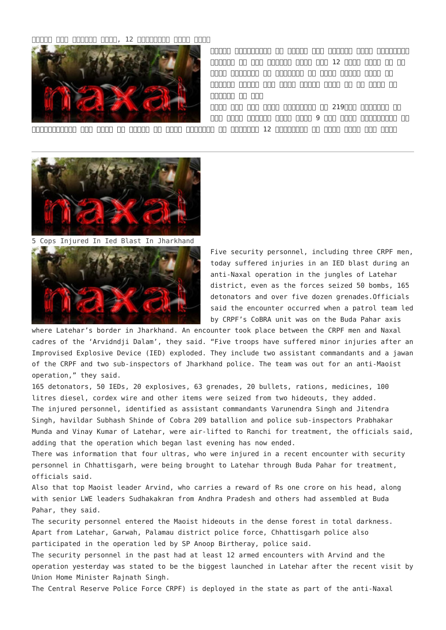## $\Box$ החחח חבותה המחמורות 12 גם החמורות החתורות החתורות ה



**सुकमा** छत्तीसगढ़ के सुकमा में शिनवार सुबह सीआरपीएफ जवानों पर हुए नक्सली हमले में 12 जवान शहीद हो गए हैं। जानकारी के मुतािबक यह हमला सुकमा िजले के भेज्जी इलाके में हुआ। सुकमा एसपी ने इस हमले की प्रतान की होता

शहीद हुए सभी जवान सीआरपीएफ की 219वीं बटािलयन के थे। हमला शिनवार सुबह करीब 9 बजे हुआ। छत्तीसगढ़ के

मुख्यमंत्री रमन िसंह ने बताया िक ताजा जानकारी के मुतािबक 12 सीआरपीएफ के जवान शहीद हुए हैं।



[5 Cops Injured In Ied Blast In Jharkhand](http://www.jharkhandmirror.net/5-cops-injured-in-ied-blast-in-jharkhand/)



Five security personnel, including three CRPF men, today suffered injuries in an IED blast during an anti-Naxal operation in the jungles of Latehar district, even as the forces seized 50 bombs, 165 detonators and over five dozen grenades.Officials said the encounter occurred when a patrol team led by CRPF's CoBRA unit was on the Buda Pahar axis

where Latehar's border in Jharkhand. An encounter took place between the CRPF men and Naxal cadres of the 'Arvidndji Dalam', they said. "Five troops have suffered minor injuries after an Improvised Explosive Device (IED) exploded. They include two assistant commandants and a jawan of the CRPF and two sub-inspectors of Jharkhand police. The team was out for an anti-Maoist operation," they said.

165 detonators, 50 IEDs, 20 explosives, 63 grenades, 20 bullets, rations, medicines, 100 litres diesel, cordex wire and other items were seized from two hideouts, they added. The injured personnel, identified as assistant commandants Varunendra Singh and Jitendra Singh, havildar Subhash Shinde of Cobra 209 batallion and police sub-inspectors Prabhakar Munda and Vinay Kumar of Latehar, were air-lifted to Ranchi for treatment, the officials said, adding that the operation which began last evening has now ended.

There was information that four ultras, who were injured in a recent encounter with security personnel in Chhattisgarh, were being brought to Latehar through Buda Pahar for treatment, officials said.

Also that top Maoist leader Arvind, who carries a reward of Rs one crore on his head, along with senior LWE leaders Sudhakakran from Andhra Pradesh and others had assembled at Buda Pahar, they said.

The security personnel entered the Maoist hideouts in the dense forest in total darkness. Apart from Latehar, Garwah, Palamau district police force, Chhattisgarh police also participated in the operation led by SP Anoop Birtheray, police said.

The security personnel in the past had at least 12 armed encounters with Arvind and the operation yesterday was stated to be the biggest launched in Latehar after the recent visit by Union Home Minister Rajnath Singh.

The Central Reserve Police Force CRPF) is deployed in the state as part of the anti-Naxal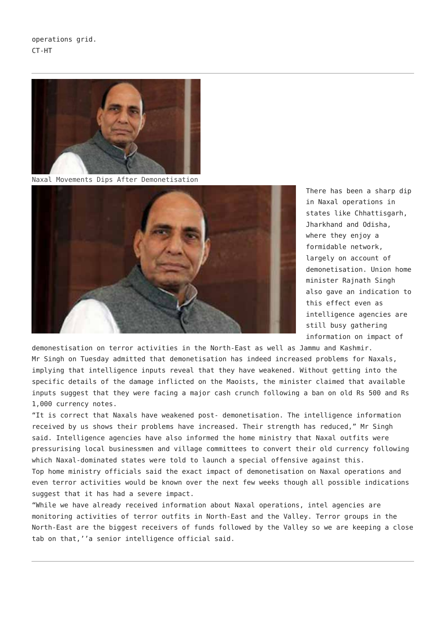operations grid. CT-HT



[Naxal Movements Dips After Demonetisation](http://www.jharkhandmirror.net/naxal-movements-dips-after-demonetisation/)



There has been a sharp dip in Naxal operations in states like Chhattisgarh, Jharkhand and Odisha, where they enjoy a formidable network, largely on account of demonetisation. Union home minister Rajnath Singh also gave an indication to this effect even as intelligence agencies are still busy gathering information on impact of

demonestisation on terror activities in the North-East as well as Jammu and Kashmir. Mr Singh on Tuesday admitted that demonetisation has indeed increased problems for Naxals, implying that intelligence inputs reveal that they have weakened. Without getting into the specific details of the damage inflicted on the Maoists, the minister claimed that available inputs suggest that they were facing a major cash crunch following a ban on old Rs 500 and Rs 1,000 currency notes.

"It is correct that Naxals have weakened post- demonetisation. The intelligence information received by us shows their problems have increased. Their strength has reduced," Mr Singh said. Intelligence agencies have also informed the home ministry that Naxal outfits were pressurising local businessmen and village committees to convert their old currency following which Naxal-dominated states were told to launch a special offensive against this. Top home ministry officials said the exact impact of demonetisation on Naxal operations and even terror activities would be known over the next few weeks though all possible indications suggest that it has had a severe impact.

"While we have already received information about Naxal operations, intel agencies are monitoring activities of terror outfits in North-East and the Valley. Terror groups in the North-East are the biggest receivers of funds followed by the Valley so we are keeping a close tab on that,''a senior intelligence official said.